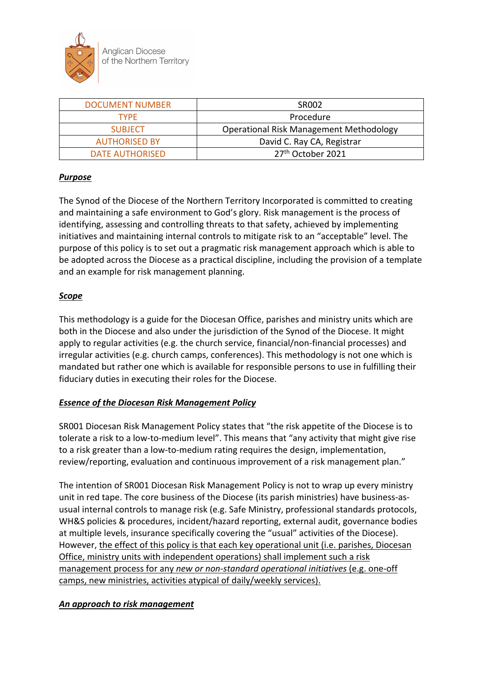

| <b>DOCUMENT NUMBER</b> | <b>SR002</b>                                   |  |
|------------------------|------------------------------------------------|--|
| Procedure<br>TYPF      |                                                |  |
| <b>SUBJECT</b>         | <b>Operational Risk Management Methodology</b> |  |
| <b>AUTHORISED BY</b>   | David C. Ray CA, Registrar                     |  |
| DATE AUTHORISED        | 27 <sup>th</sup> October 2021                  |  |

### *Purpose*

The Synod of the Diocese of the Northern Territory Incorporated is committed to creating and maintaining a safe environment to God's glory. Risk management is the process of identifying, assessing and controlling threats to that safety, achieved by implementing initiatives and maintaining internal controls to mitigate risk to an "acceptable" level. The purpose of this policy is to set out a pragmatic risk management approach which is able to be adopted across the Diocese as a practical discipline, including the provision of a template and an example for risk management planning.

### *Scope*

This methodology is a guide for the Diocesan Office, parishes and ministry units which are both in the Diocese and also under the jurisdiction of the Synod of the Diocese. It might apply to regular activities (e.g. the church service, financial/non-financial processes) and irregular activities (e.g. church camps, conferences). This methodology is not one which is mandated but rather one which is available for responsible persons to use in fulfilling their fiduciary duties in executing their roles for the Diocese.

# *Essence of the Diocesan Risk Management Policy*

SR001 Diocesan Risk Management Policy states that "the risk appetite of the Diocese is to tolerate a risk to a low-to-medium level". This means that "any activity that might give rise to a risk greater than a low-to-medium rating requires the design, implementation, review/reporting, evaluation and continuous improvement of a risk management plan."

The intention of SR001 Diocesan Risk Management Policy is not to wrap up every ministry unit in red tape. The core business of the Diocese (its parish ministries) have business-asusual internal controls to manage risk (e.g. Safe Ministry, professional standards protocols, WH&S policies & procedures, incident/hazard reporting, external audit, governance bodies at multiple levels, insurance specifically covering the "usual" activities of the Diocese). However, the effect of this policy is that each key operational unit (i.e. parishes, Diocesan Office, ministry units with independent operations) shall implement such a risk management process for any *new or non-standard operational initiatives* (e.g. one-off camps, new ministries, activities atypical of daily/weekly services).

### *An approach to risk management*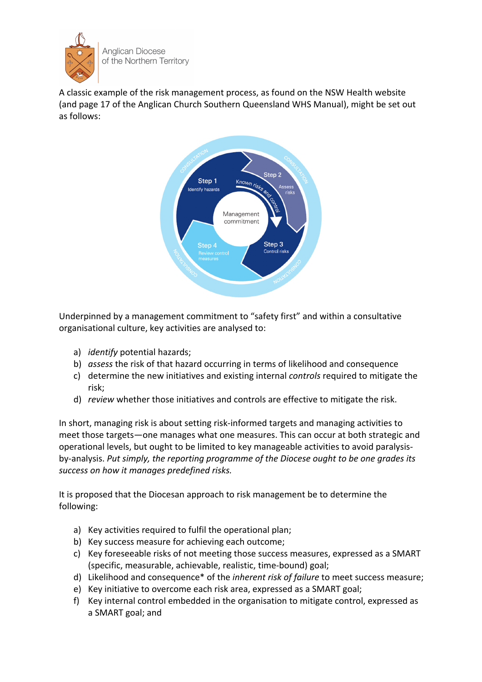

A classic example of the risk management process, as found on the NSW Health website (and page 17 of the Anglican Church Southern Queensland WHS Manual), might be set out as follows:



Underpinned by a management commitment to "safety first" and within a consultative organisational culture, key activities are analysed to:

- a) *identify* potential hazards;
- b) *assess* the risk of that hazard occurring in terms of likelihood and consequence
- c) determine the new initiatives and existing internal *controls* required to mitigate the risk;
- d) *review* whether those initiatives and controls are effective to mitigate the risk.

In short, managing risk is about setting risk-informed targets and managing activities to meet those targets—one manages what one measures. This can occur at both strategic and operational levels, but ought to be limited to key manageable activities to avoid paralysisby-analysis. *Put simply, the reporting programme of the Diocese ought to be one grades its success on how it manages predefined risks.*

It is proposed that the Diocesan approach to risk management be to determine the following:

- a) Key activities required to fulfil the operational plan;
- b) Key success measure for achieving each outcome;
- c) Key foreseeable risks of not meeting those success measures, expressed as a SMART (specific, measurable, achievable, realistic, time-bound) goal;
- d) Likelihood and consequence\* of the *inherent risk of failure* to meet success measure;
- e) Key initiative to overcome each risk area, expressed as a SMART goal;
- f) Key internal control embedded in the organisation to mitigate control, expressed as a SMART goal; and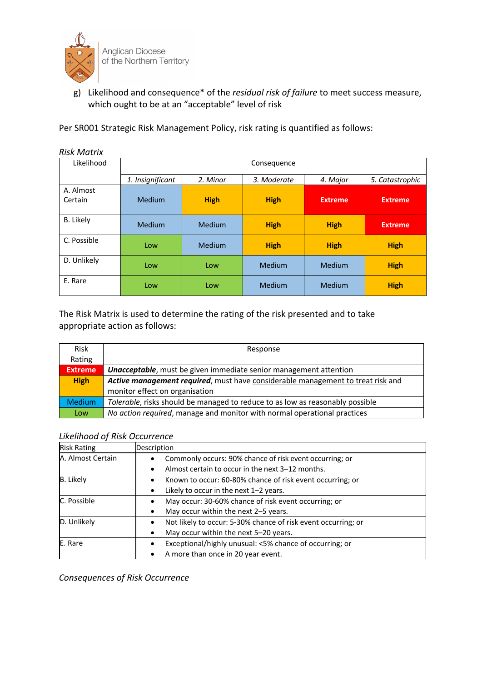

g) Likelihood and consequence\* of the *residual risk of failure* to meet success measure, which ought to be at an "acceptable" level of risk

Per SR001 Strategic Risk Management Policy, risk rating is quantified as follows:

| RISK IVIULITX        |                                                                                           |               |             |                |                |
|----------------------|-------------------------------------------------------------------------------------------|---------------|-------------|----------------|----------------|
| Likelihood           | Consequence<br>1. Insignificant<br>5. Catastrophic<br>2. Minor<br>3. Moderate<br>4. Major |               |             |                |                |
|                      |                                                                                           |               |             |                |                |
| A. Almost<br>Certain | <b>Medium</b>                                                                             | <b>High</b>   | <b>High</b> | <b>Extreme</b> | <b>Extreme</b> |
| B. Likely            | Medium                                                                                    | Medium        | <b>High</b> | <b>High</b>    | <b>Extreme</b> |
| C. Possible          | Low                                                                                       | <b>Medium</b> | <b>High</b> | <b>High</b>    | <b>High</b>    |
| D. Unlikely          | Low                                                                                       | Low           | Medium      | Medium         | <b>High</b>    |
| E. Rare              | Low                                                                                       | Low           | Medium      | Medium         | <b>High</b>    |

*Risk Matrix*

The Risk Matrix is used to determine the rating of the risk presented and to take appropriate action as follows:

| <b>Risk</b>    | Response                                                                        |  |  |
|----------------|---------------------------------------------------------------------------------|--|--|
| Rating         |                                                                                 |  |  |
| <b>Extreme</b> | <b>Unacceptable</b> , must be given immediate senior management attention       |  |  |
| <b>High</b>    | Active management required, must have considerable management to treat risk and |  |  |
|                | monitor effect on organisation                                                  |  |  |
| <b>Medium</b>  | Tolerable, risks should be managed to reduce to as low as reasonably possible   |  |  |
| Low            | No action required, manage and monitor with normal operational practices        |  |  |

#### *Likelihood of Risk Occurrence*

| <b>Risk Rating</b> | Description                                                                                                 |
|--------------------|-------------------------------------------------------------------------------------------------------------|
| A. Almost Certain  | Commonly occurs: 90% chance of risk event occurring; or<br>Almost certain to occur in the next 3–12 months. |
| <b>B.</b> Likely   | Known to occur: 60-80% chance of risk event occurring; or<br>Likely to occur in the next $1-2$ years.       |
| C. Possible        | May occur: 30-60% chance of risk event occurring; or<br>May occur within the next 2-5 years.                |
| D. Unlikely        | Not likely to occur: 5-30% chance of risk event occurring; or<br>May occur within the next 5-20 years.      |
| E. Rare            | Exceptional/highly unusual: <5% chance of occurring; or<br>A more than once in 20 year event.               |

*Consequences of Risk Occurrence*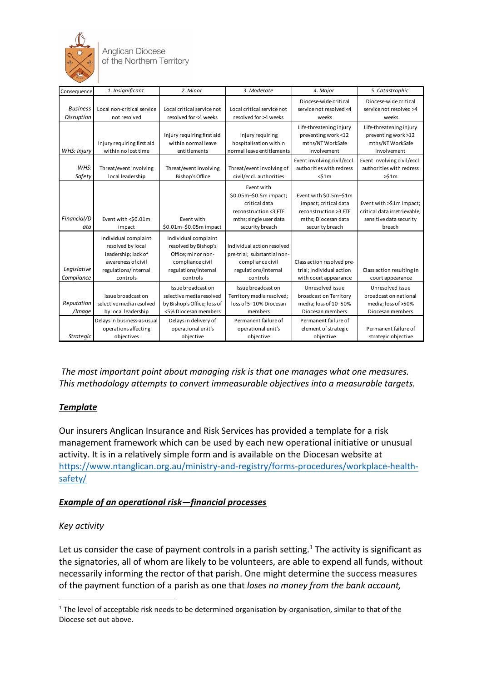

**Anglican Diocese** of the Northern Territory

| Consequence                      | 1. Insignificant                                                                                                           | 2. Minor                                                                                                                                             | 3. Moderate                                                                                                                 | 4. Major                                                                                                        | 5. Catastrophic                                                                               |
|----------------------------------|----------------------------------------------------------------------------------------------------------------------------|------------------------------------------------------------------------------------------------------------------------------------------------------|-----------------------------------------------------------------------------------------------------------------------------|-----------------------------------------------------------------------------------------------------------------|-----------------------------------------------------------------------------------------------|
| <b>Business</b><br>Disruption    | Local non-critical service<br>not resolved                                                                                 | Local critical service not<br>resolved for <4 weeks                                                                                                  | Local critical service not<br>resolved for >4 weeks                                                                         | Diocese-wide critical<br>service not resolved <4<br>weeks                                                       | Diocese-wide critical<br>service not resolved >4<br>weeks                                     |
| WHS: Injury                      | Injury requiring first aid<br>within no lost time                                                                          | Injury requiring first aid<br>within normal leave<br>entitlements                                                                                    | Injury requiring<br>hospitalisation within<br>normal leave entitlements                                                     | Life-threatening injury<br>preventing work <12<br>mths/NT WorkSafe<br>involvement                               | Life-threatening injury<br>preventing work >12<br>mths/NT WorkSafe<br>involvement             |
| WHS:<br>Safety                   | Threat/event involving<br>local leadership                                                                                 | Threat/event involving<br><b>Bishop's Office</b>                                                                                                     | Threat/event involving of<br>civil/eccl. authorities                                                                        | Event involving civil/eccl.<br>authorities with redress<br>$<$ \$1 $m$                                          | Event involving civil/eccl.<br>authorities with redress<br>>51m                               |
| Financial/D                      | Event with <\$0.01m<br>impact                                                                                              | Event with                                                                                                                                           | Event with<br>\$0.05m-\$0.5m impact;<br>critical data<br>reconstruction <3 FTE<br>mths; single user data<br>security breach | Event with \$0.5m-\$1m<br>impact; critical data<br>reconstruction >3 FTE<br>mths; Diocesan data                 | Event with >\$1m impact;<br>critical data irretrievable;<br>sensitive data security<br>breach |
| ata<br>Legislative<br>Compliance | Individual complaint<br>resolved by local<br>leadership; lack of<br>awareness of civil<br>regulations/internal<br>controls | \$0.01m-\$0.05m impact<br>Individual complaint<br>resolved by Bishop's<br>Office; minor non-<br>compliance civil<br>regulations/internal<br>controls | Individual action resolved<br>pre-trial; substantial non-<br>compliance civil<br>regulations/internal<br>controls           | security breach<br>Class action resolved pre-<br>trial; individual action<br>with court appearance              | Class action resulting in<br>court appearance                                                 |
| Reputation<br>/Image             | Issue broadcast on<br>selective media resolved<br>by local leadership<br>Delays in business-as-usual                       | Issue broadcast on<br>selective media resolved<br>by Bishop's Office; loss of<br><5% Diocesan members<br>Delays in delivery of                       | Issue broadcast on<br>Territory media resolved;<br>loss of 5-10% Diocesan<br>members<br>Permanent failure of                | Unresolved issue<br>broadcast on Territory<br>media; loss of 10-50%<br>Diocesan members<br>Permanent failure of | Unresolved issue<br>broadcast on national<br>media; loss of >50%<br>Diocesan members          |
| <b>Strategic</b>                 | operations affecting<br>objectives                                                                                         | operational unit's<br>objective                                                                                                                      | operational unit's<br>objective                                                                                             | element of strategic<br>objective                                                                               | Permanent failure of<br>strategic objective                                                   |

*The most important point about managing risk is that one manages what one measures. This methodology attempts to convert immeasurable objectives into a measurable targets.*

# *Template*

Our insurers Anglican Insurance and Risk Services has provided a template for a risk management framework which can be used by each new operational initiative or unusual activity. It is in a relatively simple form and is available on the Diocesan website at https://www.ntanglican.org.au/ministry-and-registry/forms-procedures/workplace-healthsafety/

# *Example of an operational risk—financial processes*

# *Key activity*

Let us consider the case of payment controls in a parish setting.<sup>1</sup> The activity is significant as the signatories, all of whom are likely to be volunteers, are able to expend all funds, without necessarily informing the rector of that parish. One might determine the success measures of the payment function of a parish as one that *loses no money from the bank account,* 

 $1$  The level of acceptable risk needs to be determined organisation-by-organisation, similar to that of the Diocese set out above.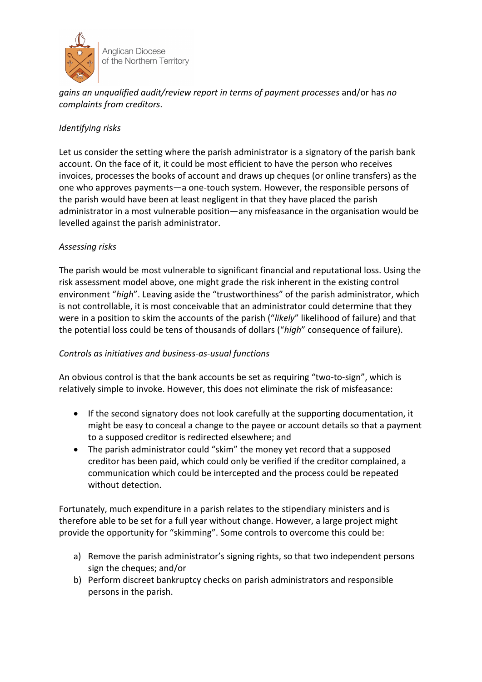

**Anglican Diocese** of the Northern Territory

*gains an unqualified audit/review report in terms of payment processes* and/or has *no complaints from creditors*.

### *Identifying risks*

Let us consider the setting where the parish administrator is a signatory of the parish bank account. On the face of it, it could be most efficient to have the person who receives invoices, processes the books of account and draws up cheques (or online transfers) as the one who approves payments—a one-touch system. However, the responsible persons of the parish would have been at least negligent in that they have placed the parish administrator in a most vulnerable position—any misfeasance in the organisation would be levelled against the parish administrator.

### *Assessing risks*

The parish would be most vulnerable to significant financial and reputational loss. Using the risk assessment model above, one might grade the risk inherent in the existing control environment "*high*". Leaving aside the "trustworthiness" of the parish administrator, which is not controllable, it is most conceivable that an administrator could determine that they were in a position to skim the accounts of the parish ("*likely*" likelihood of failure) and that the potential loss could be tens of thousands of dollars ("*high*" consequence of failure).

### *Controls as initiatives and business-as-usual functions*

An obvious control is that the bank accounts be set as requiring "two-to-sign", which is relatively simple to invoke. However, this does not eliminate the risk of misfeasance:

- If the second signatory does not look carefully at the supporting documentation, it might be easy to conceal a change to the payee or account details so that a payment to a supposed creditor is redirected elsewhere; and
- The parish administrator could "skim" the money yet record that a supposed creditor has been paid, which could only be verified if the creditor complained, a communication which could be intercepted and the process could be repeated without detection.

Fortunately, much expenditure in a parish relates to the stipendiary ministers and is therefore able to be set for a full year without change. However, a large project might provide the opportunity for "skimming". Some controls to overcome this could be:

- a) Remove the parish administrator's signing rights, so that two independent persons sign the cheques; and/or
- b) Perform discreet bankruptcy checks on parish administrators and responsible persons in the parish.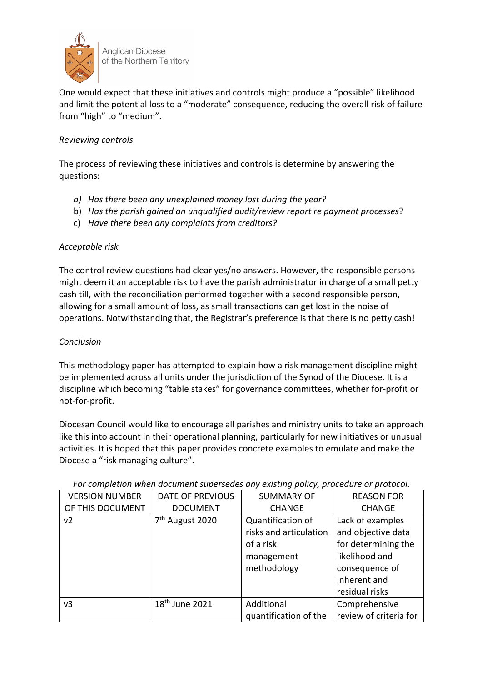

**Anglican Diocese** of the Northern Territory

One would expect that these initiatives and controls might produce a "possible" likelihood and limit the potential loss to a "moderate" consequence, reducing the overall risk of failure from "high" to "medium".

### *Reviewing controls*

The process of reviewing these initiatives and controls is determine by answering the questions:

- *a) Has there been any unexplained money lost during the year?*
- b) *Has the parish gained an unqualified audit/review report re payment processes*?
- c) *Have there been any complaints from creditors?*

### *Acceptable risk*

The control review questions had clear yes/no answers. However, the responsible persons might deem it an acceptable risk to have the parish administrator in charge of a small petty cash till, with the reconciliation performed together with a second responsible person, allowing for a small amount of loss, as small transactions can get lost in the noise of operations. Notwithstanding that, the Registrar's preference is that there is no petty cash!

### *Conclusion*

This methodology paper has attempted to explain how a risk management discipline might be implemented across all units under the jurisdiction of the Synod of the Diocese. It is a discipline which becoming "table stakes" for governance committees, whether for-profit or not-for-profit.

Diocesan Council would like to encourage all parishes and ministry units to take an approach like this into account in their operational planning, particularly for new initiatives or unusual activities. It is hoped that this paper provides concrete examples to emulate and make the Diocese a "risk managing culture".

| ror completion when abcument superseals any existing policy, proceaure or protocol. |                             |                        |                        |  |
|-------------------------------------------------------------------------------------|-----------------------------|------------------------|------------------------|--|
| <b>VERSION NUMBER</b>                                                               | <b>DATE OF PREVIOUS</b>     | <b>SUMMARY OF</b>      | <b>REASON FOR</b>      |  |
| OF THIS DOCUMENT                                                                    | <b>DOCUMENT</b>             | <b>CHANGE</b>          | <b>CHANGE</b>          |  |
| v <sub>2</sub>                                                                      | 7 <sup>th</sup> August 2020 | Quantification of      | Lack of examples       |  |
|                                                                                     |                             | risks and articulation | and objective data     |  |
|                                                                                     |                             | of a risk              | for determining the    |  |
|                                                                                     |                             | management             | likelihood and         |  |
|                                                                                     |                             | methodology            | consequence of         |  |
|                                                                                     |                             |                        | inherent and           |  |
|                                                                                     |                             |                        | residual risks         |  |
| v3                                                                                  | 18 <sup>th</sup> June 2021  | Additional             | Comprehensive          |  |
|                                                                                     |                             | quantification of the  | review of criteria for |  |

*For completion when document supersedes any existing policy, procedure or protocol.*